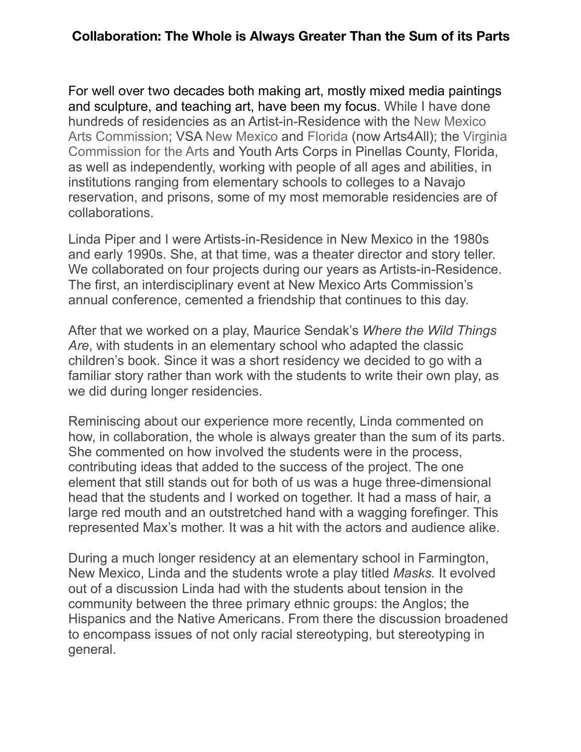## **Collaboration: The Whole is Always Greater Than the Sum of its Parts**

For well over two decades both making art, mostly mixed media paintings and sculpture, and teaching art, have been my focus. While I have done hundreds of residencies as an Artist-in-Residence with the [New Mexico](http://www.nmarts.org/)  [Arts Commission;](http://www.nmarts.org/) VSA [New Mexico](http://www.vsartsnm.org/) and [Florida](http://vsafl.org/) (now Arts4All); the [Virginia](http://www.arts.virginia.gov/)  [Commission for the Arts](http://www.arts.virginia.gov/) and Youth Arts Corps in Pinellas County, Florida, as well as independently, working with people of all ages and abilities, in institutions ranging from elementary schools to colleges to a Navajo reservation, and prisons, some of my most memorable residencies are of collaborations.

Linda Piper and I were Artists-in-Residence in New Mexico in the 1980s and early 1990s. She, at that time, was a theater director and story teller. We collaborated on four projects during our years as Artists-in-Residence. The first, an interdisciplinary event at New Mexico Arts Commission's annual conference, cemented a friendship that continues to this day.

After that we worked on a play, Maurice Sendak's *Where the Wild Things Are*, with students in an elementary school who adapted the classic children's book. Since it was a short residency we decided to go with a familiar story rather than work with the students to write their own play, as we did during longer residencies.

Reminiscing about our experience more recently, Linda commented on how, in collaboration, the whole is always greater than the sum of its parts. She commented on how involved the students were in the process, contributing ideas that added to the success of the project. The one element that still stands out for both of us was a huge three-dimensional head that the students and I worked on together. It had a mass of hair, a large red mouth and an outstretched hand with a wagging forefinger. This represented Max's mother. It was a hit with the actors and audience alike.

During a much longer residency at an elementary school in Farmington, New Mexico, Linda and the students wrote a play titled *Masks.* It evolved out of a discussion Linda had with the students about tension in the community between the three primary ethnic groups: the Anglos; the Hispanics and the Native Americans. From there the discussion broadened to encompass issues of not only racial stereotyping, but stereotyping in general.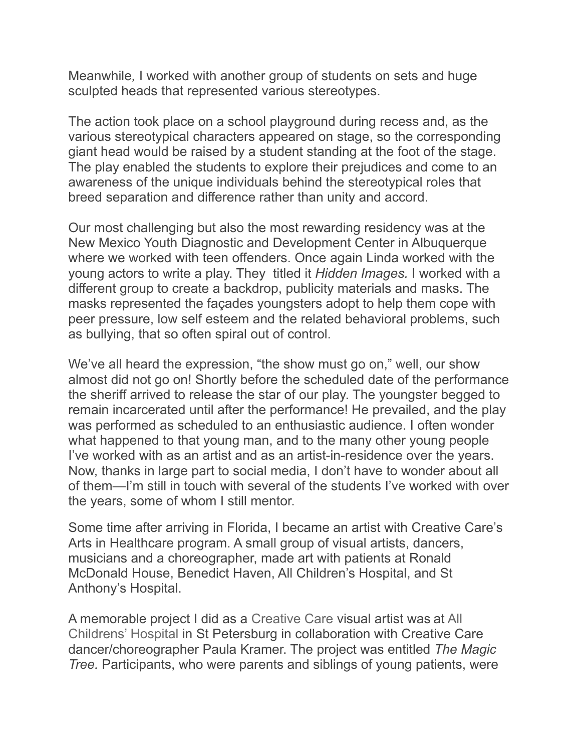Meanwhile*,* I worked with another group of students on sets and huge sculpted heads that represented various stereotypes.

The action took place on a school playground during recess and, as the various stereotypical characters appeared on stage, so the corresponding giant head would be raised by a student standing at the foot of the stage. The play enabled the students to explore their prejudices and come to an awareness of the unique individuals behind the stereotypical roles that breed separation and difference rather than unity and accord.

Our most challenging but also the most rewarding residency was at the New Mexico Youth Diagnostic and Development Center in Albuquerque where we worked with teen offenders. Once again Linda worked with the young actors to write a play. They titled it *Hidden Images.* I worked with a different group to create a backdrop, publicity materials and masks. The masks represented the façades youngsters adopt to help them cope with peer pressure, low self esteem and the related behavioral problems, such as bullying, that so often spiral out of control.

We've all heard the expression, "the show must go on," well, our show almost did not go on! Shortly before the scheduled date of the performance the sheriff arrived to release the star of our play. The youngster begged to remain incarcerated until after the performance! He prevailed, and the play was performed as scheduled to an enthusiastic audience. I often wonder what happened to that young man, and to the many other young people I've worked with as an artist and as an artist-in-residence over the years. Now, thanks in large part to social media, I don't have to wonder about all of them—I'm still in touch with several of the students I've worked with over the years, some of whom I still mentor.

Some time after arriving in Florida, I became an artist with Creative Care's Arts in Healthcare program. A small group of visual artists, dancers, musicians and a choreographer, made art with patients at Ronald McDonald House, Benedict Haven, All Children's Hospital, and St Anthony's Hospital.

A memorable project I did as a [Creative Care](http://www.creativeclay.org/creative-care/) visual artist was at [All](https://www.allkids.org/home)  [Childrens' Hospital](https://www.allkids.org/home) in St Petersburg in collaboration with Creative Care dancer/choreographer Paula Kramer. The project was entitled *The Magic Tree.* Participants, who were parents and siblings of young patients, were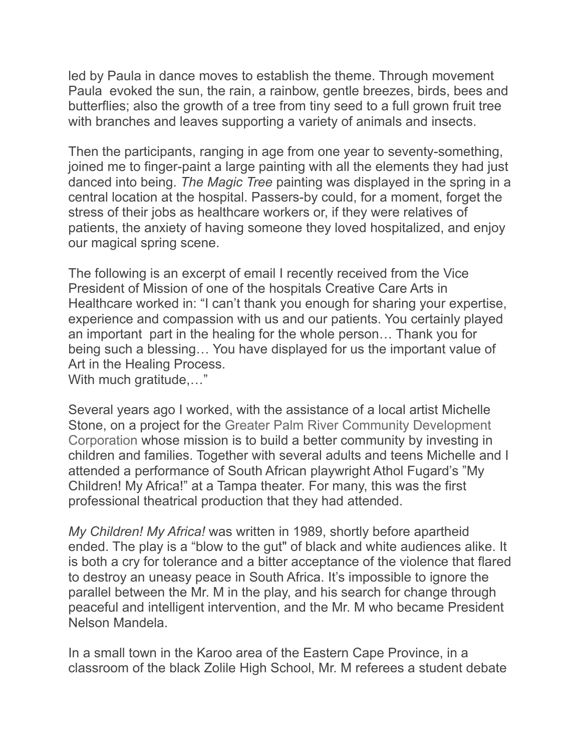led by Paula in dance moves to establish the theme. Through movement Paula evoked the sun, the rain, a rainbow, gentle breezes, birds, bees and butterflies; also the growth of a tree from tiny seed to a full grown fruit tree with branches and leaves supporting a variety of animals and insects.

Then the participants, ranging in age from one year to seventy-something, joined me to finger-paint a large painting with all the elements they had just danced into being. *The Magic Tree* painting was displayed in the spring in a central location at the hospital. Passers-by could, for a moment, forget the stress of their jobs as healthcare workers or, if they were relatives of patients, the anxiety of having someone they loved hospitalized, and enjoy our magical spring scene.

The following is an excerpt of email I recently received from the Vice President of Mission of one of the hospitals Creative Care Arts in Healthcare worked in: "I can't thank you enough for sharing your expertise, experience and compassion with us and our patients. You certainly played an important part in the healing for the whole person… Thank you for being such a blessing… You have displayed for us the important value of Art in the Healing Process. With much gratitude,…"

Several years ago I worked, with the assistance of a local artist Michelle Stone, on a project for the [Greater Palm River Community Development](http://greaterpalmrivercdc.com/)  [Corporation](http://greaterpalmrivercdc.com/) whose mission is to build a better community by investing in children and families. Together with several adults and teens Michelle and I attended a performance of South African playwright Athol Fugard's "My Children! My Africa!" at a Tampa theater. For many, this was the first professional theatrical production that they had attended.

*My Children! My Africa!* was written in 1989, shortly before apartheid ended. The play is a "blow to the gut" of black and white audiences alike. It is both a cry for tolerance and a bitter acceptance of the violence that flared to destroy an uneasy peace in South Africa. It's impossible to ignore the parallel between the Mr. M in the play, and his search for change through peaceful and intelligent intervention, and the Mr. M who became President Nelson Mandela.

In a small town in the Karoo area of the Eastern Cape Province, in a classroom of the black Zolile High School, Mr. M referees a student debate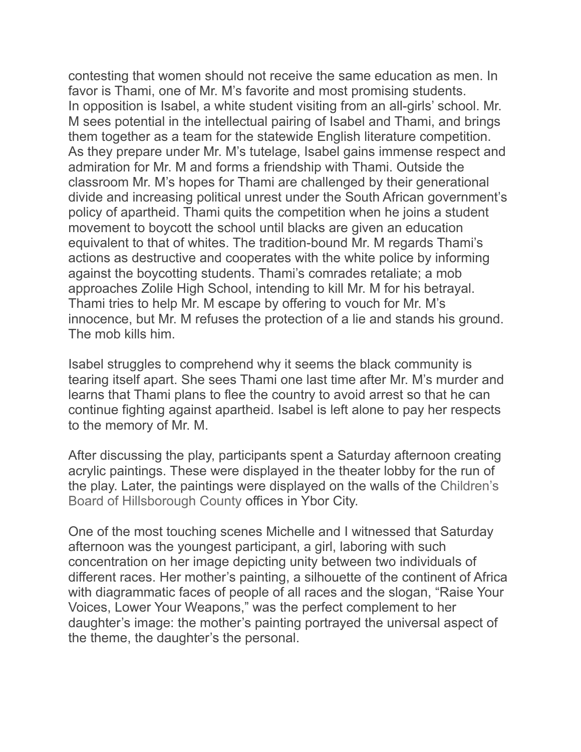contesting that women should not receive the same education as men. In favor is Thami, one of Mr. M's favorite and most promising students. In opposition is Isabel, a white student visiting from an all-girls' school. Mr. M sees potential in the intellectual pairing of Isabel and Thami, and brings them together as a team for the statewide English literature competition. As they prepare under Mr. M's tutelage, Isabel gains immense respect and admiration for Mr. M and forms a friendship with Thami. Outside the classroom Mr. M's hopes for Thami are challenged by their generational divide and increasing political unrest under the South African government's policy of apartheid. Thami quits the competition when he joins a student movement to boycott the school until blacks are given an education equivalent to that of whites. The tradition-bound Mr. M regards Thami's actions as destructive and cooperates with the white police by informing against the boycotting students. Thami's comrades retaliate; a mob approaches Zolile High School, intending to kill Mr. M for his betrayal. Thami tries to help Mr. M escape by offering to vouch for Mr. M's innocence, but Mr. M refuses the protection of a lie and stands his ground. The mob kills him.

Isabel struggles to comprehend why it seems the black community is tearing itself apart. She sees Thami one last time after Mr. M's murder and learns that Thami plans to flee the country to avoid arrest so that he can continue fighting against apartheid. Isabel is left alone to pay her respects to the memory of Mr. M.

After discussing the play, participants spent a Saturday afternoon creating acrylic paintings. These were displayed in the theater lobby for the run of the play. Later, the paintings were displayed on the walls of the [Children's](http://www.childrensboard.org/)  [Board of Hillsborough County](http://www.childrensboard.org/) offices in Ybor City.

One of the most touching scenes Michelle and I witnessed that Saturday afternoon was the youngest participant, a girl, laboring with such concentration on her image depicting unity between two individuals of different races. Her mother's painting, a silhouette of the continent of Africa with diagrammatic faces of people of all races and the slogan, "Raise Your Voices, Lower Your Weapons," was the perfect complement to her daughter's image: the mother's painting portrayed the universal aspect of the theme, the daughter's the personal.